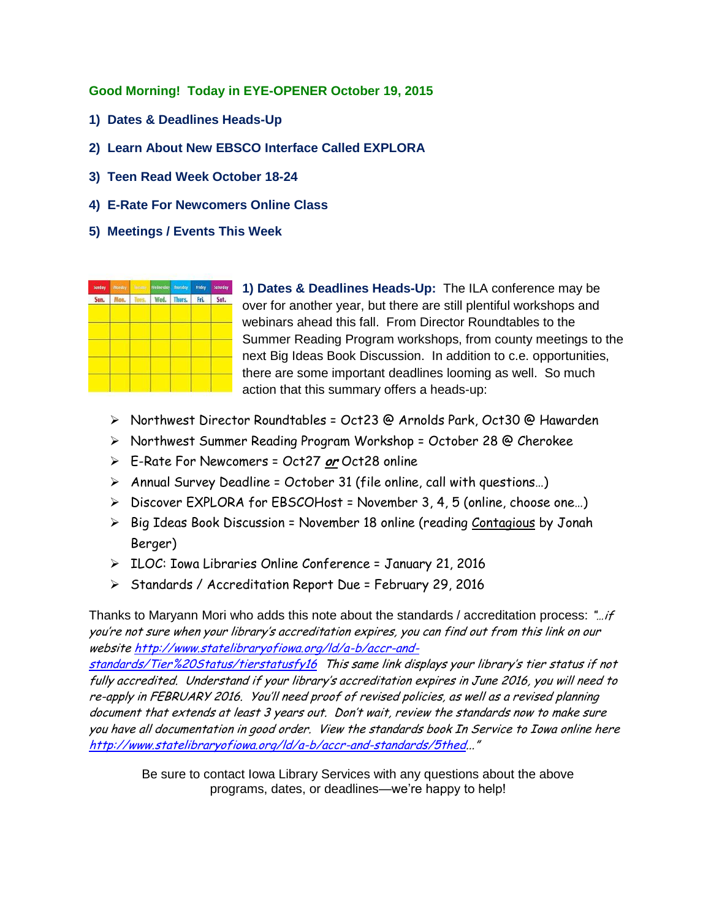**Good Morning! Today in EYE-OPENER October 19, 2015**

- **1) Dates & Deadlines Heads-Up**
- **2) Learn About New EBSCO Interface Called EXPLORA**
- **3) Teen Read Week October 18-24**
- **4) E-Rate For Newcomers Online Class**
- **5) Meetings / Events This Week**

| Sunday | Monday. | Thesany | <b>Wednesday</b> | Thursday | Friday | Saturday |
|--------|---------|---------|------------------|----------|--------|----------|
| Sun.   | Mon.    | Toes.   | Wed.             | Thurs.   | Fri.   | Sat.     |
|        |         |         |                  |          |        |          |
|        |         |         |                  |          |        |          |
|        |         |         |                  |          |        |          |
|        |         |         |                  |          |        |          |
|        |         |         |                  |          |        |          |

**1) Dates & Deadlines Heads-Up:** The ILA conference may be over for another year, but there are still plentiful workshops and webinars ahead this fall. From Director Roundtables to the Summer Reading Program workshops, from county meetings to the next Big Ideas Book Discussion. In addition to c.e. opportunities, there are some important deadlines looming as well. So much action that this summary offers a heads-up:

- Northwest Director Roundtables = Oct23 @ Arnolds Park, Oct30 @ Hawarden
- Northwest Summer Reading Program Workshop = October 28 @ Cherokee
- E-Rate For Newcomers = Oct27 **or** Oct28 online
- $\triangleright$  Annual Survey Deadline = October 31 (file online, call with questions...)
- $\triangleright$  Discover EXPLORA for EBSCOHost = November 3, 4, 5 (online, choose one...)
- $\triangleright$  Big Ideas Book Discussion = November 18 online (reading Contagious by Jonah Berger)
- ILOC: Iowa Libraries Online Conference = January 21, 2016
- $\triangleright$  Standards / Accreditation Report Due = February 29, 2016

Thanks to Maryann Mori who adds this note about the standards / accreditation process:  $\mathcal{L}$ . if you're not sure when your library's accreditation expires, you can find out from this link on our website [http://www.statelibraryofiowa.org/ld/a-b/accr-and](http://www.statelibraryofiowa.org/ld/a-b/accr-and-standards/Tier%20Status/tierstatusfy16)[standards/Tier%20Status/tierstatusfy16](http://www.statelibraryofiowa.org/ld/a-b/accr-and-standards/Tier%20Status/tierstatusfy16) This same link displays your library's tier status if not fully accredited. Understand if your library's accreditation expires in June 2016, you will need to re-apply in FEBRUARY 2016. You'll need proof of revised policies, as well as a revised planning document that extends at least 3 years out. Don't wait, review the standards now to make sure you have all documentation in good order. View the standards book In Service to Iowa online here <http://www.statelibraryofiowa.org/ld/a-b/accr-and-standards/5thed>..."

Be sure to contact Iowa Library Services with any questions about the above programs, dates, or deadlines—we're happy to help!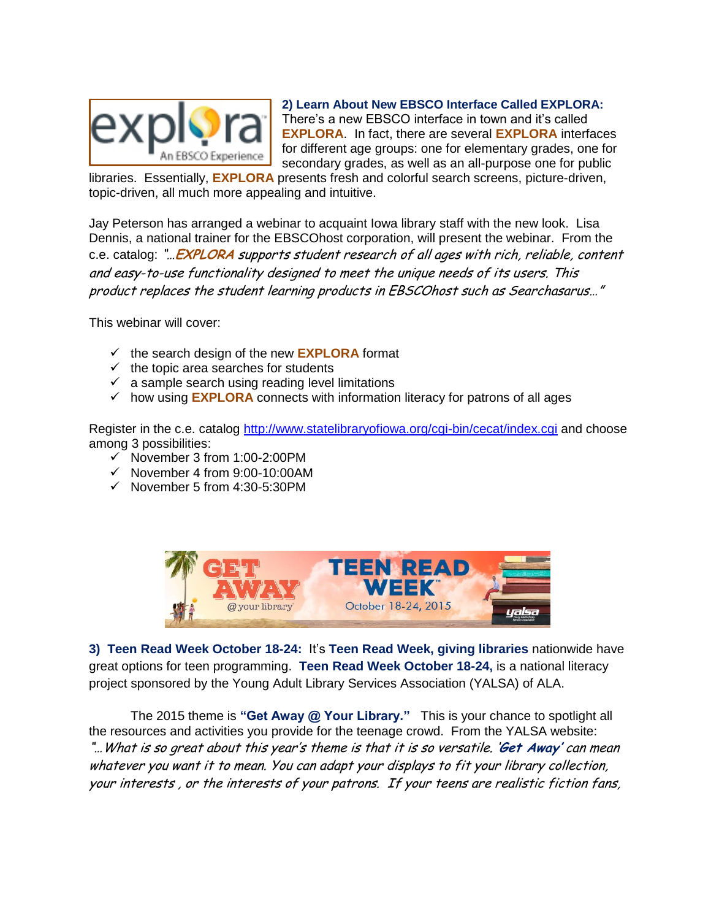

**2) Learn About New EBSCO Interface Called EXPLORA:** There's a new EBSCO interface in town and it's called **EXPLORA**. In fact, there are several **EXPLORA** interfaces for different age groups: one for elementary grades, one for secondary grades, as well as an all-purpose one for public

libraries. Essentially, **EXPLORA** presents fresh and colorful search screens, picture-driven, topic-driven, all much more appealing and intuitive.

Jay Peterson has arranged a webinar to acquaint Iowa library staff with the new look. Lisa Dennis, a national trainer for the EBSCOhost corporation, will present the webinar. From the c.e. catalog: "…**EXPLORA** supports student research of all ages with rich, reliable, content and easy-to-use functionality designed to meet the unique needs of its users. This product replaces the student learning products in EBSCOhost such as Searchasarus…"

This webinar will cover:

- $\checkmark$  the search design of the new **EXPLORA** format
- $\checkmark$  the topic area searches for students
- $\checkmark$  a sample search using reading level limitations
- $\checkmark$  how using **EXPLORA** connects with information literacy for patrons of all ages

Register in the c.e. catalog<http://www.statelibraryofiowa.org/cgi-bin/cecat/index.cgi> and choose among 3 possibilities:

- $\checkmark$  November 3 from 1:00-2:00 PM
- $\checkmark$  November 4 from 9:00-10:00AM
- $\checkmark$  November 5 from 4:30-5:30 PM



**3) Teen Read Week October 18-24:** It's **Teen Read Week, giving libraries** nationwide have great options for teen programming. **Teen Read Week October 18-24,** is a national literacy project sponsored by the Young Adult Library Services Association (YALSA) of ALA.

The 2015 theme is **"Get Away @ Your Library."** This is your chance to spotlight all the resources and activities you provide for the teenage crowd. From the YALSA website: "…What is so great about this year's theme is that it is so versatile. '**Get Away'** can mean whatever you want it to mean. You can adapt your displays to fit your library collection, your interests , or the interests of your patrons. If your teens are realistic fiction fans,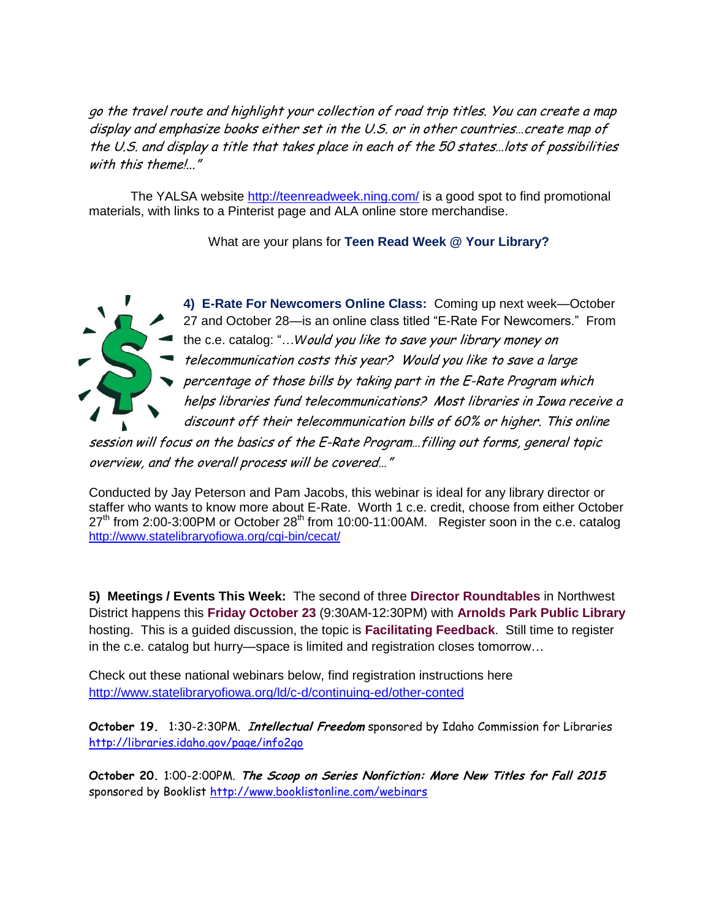go the travel route and highlight your collection of road trip titles. You can create a map display and emphasize books either set in the U.S. or in other countries…create map of the U.S. and display a title that takes place in each of the 50 states…lots of possibilities with this theme!..."

The YALSA website<http://teenreadweek.ning.com/> is a good spot to find promotional materials, with links to a Pinterist page and ALA online store merchandise.

What are your plans for **Teen Read Week @ Your Library?**



**4) E-Rate For Newcomers Online Class:** Coming up next week—October 27 and October 28—is an online class titled "E-Rate For Newcomers." From the c.e. catalog: "…*W*ould you like to save your library money on telecommunication costs this year? Would you like to save a large percentage of those bills by taking part in the E-Rate Program which helps libraries fund telecommunications? Most libraries in Iowa receive a discount off their telecommunication bills of 60% or higher. This online

session will focus on the basics of the E-Rate Program…filling out forms, general topic overview, and the overall process will be covered…"

Conducted by Jay Peterson and Pam Jacobs, this webinar is ideal for any library director or staffer who wants to know more about E-Rate. Worth 1 c.e. credit, choose from either October  $27<sup>th</sup>$  from 2:00-3:00PM or October 28<sup>th</sup> from 10:00-11:00AM. Register soon in the c.e. catalog <http://www.statelibraryofiowa.org/cgi-bin/cecat/>

**5) Meetings / Events This Week:** The second of three **Director Roundtables** in Northwest District happens this **Friday October 23** (9:30AM-12:30PM) with **Arnolds Park Public Library** hosting. This is a guided discussion, the topic is **Facilitating Feedback**. Still time to register in the c.e. catalog but hurry—space is limited and registration closes tomorrow…

Check out these national webinars below, find registration instructions here <http://www.statelibraryofiowa.org/ld/c-d/continuing-ed/other-conted>

**October 19.** 1:30-2:30PM. I**ntellectual Freedom** sponsored by Idaho Commission for Libraries <http://libraries.idaho.gov/page/info2go>

**October 20.** 1:00-2:00PM. **The Scoop on Series Nonfiction: More New Titles for Fall 2015** sponsored by Booklist <http://www.booklistonline.com/webinars>